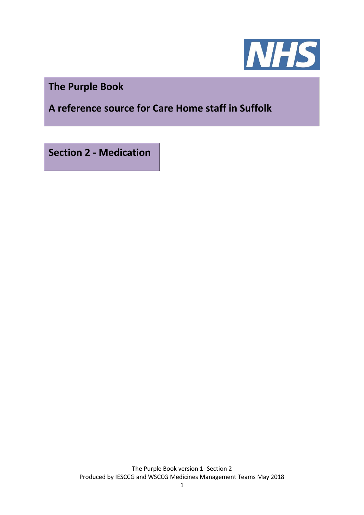

**The Purple Book**

**A reference source for Care Home staff in Suffolk**

**Section 2 - Medication**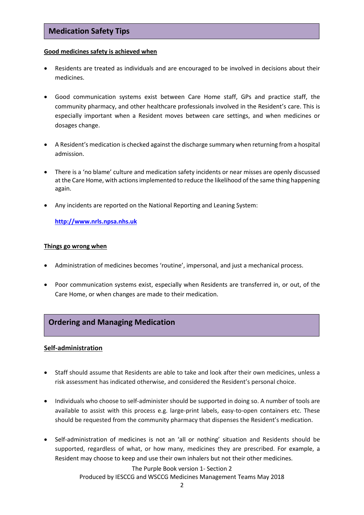# **Medication Safety Tips**

#### **Good medicines safety is achieved when**

- Residents are treated as individuals and are encouraged to be involved in decisions about their medicines.
- Good communication systems exist between Care Home staff, GPs and practice staff, the community pharmacy, and other healthcare professionals involved in the Resident's care. This is especially important when a Resident moves between care settings, and when medicines or dosages change.
- A Resident's medication is checked against the discharge summary when returning from a hospital admission.
- There is a 'no blame' culture and medication safety incidents or near misses are openly discussed at the Care Home, with actions implemented to reduce the likelihood of the same thing happening again.
- Any incidents are reported on the National Reporting and Leaning System:

**[http://www.nrls.npsa.nhs.uk](http://www.nrls.npsa.nhs.uk/)**

#### **Things go wrong when**

- Administration of medicines becomes 'routine', impersonal, and just a mechanical process.
- Poor communication systems exist, especially when Residents are transferred in, or out, of the Care Home, or when changes are made to their medication.

## **Ordering and Managing Medication**

## **Self-administration**

- Staff should assume that Residents are able to take and look after their own medicines, unless a risk assessment has indicated otherwise, and considered the Resident's personal choice.
- Individuals who choose to self-administer should be supported in doing so. A number of tools are available to assist with this process e.g. large-print labels, easy-to-open containers etc. These should be requested from the community pharmacy that dispenses the Resident's medication.
- Self-administration of medicines is not an 'all or nothing' situation and Residents should be supported, regardless of what, or how many, medicines they are prescribed. For example, a Resident may choose to keep and use their own inhalers but not their other medicines.

The Purple Book version 1- Section 2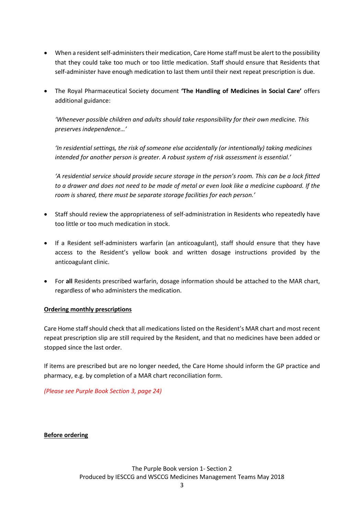- When a resident self-administers their medication, Care Home staff must be alert to the possibility that they could take too much or too little medication. Staff should ensure that Residents that self-administer have enough medication to last them until their next repeat prescription is due.
- The Royal Pharmaceutical Society document **'The Handling of Medicines in Social Care'** offers additional guidance:

*'Whenever possible children and adults should take responsibility for their own medicine. This preserves independence…'*

*'In residential settings, the risk of someone else accidentally (or intentionally) taking medicines intended for another person is greater. A robust system of risk assessment is essential.'*

*'A residential service should provide secure storage in the person's room. This can be a lock fitted to a drawer and does not need to be made of metal or even look like a medicine cupboard. If the room is shared, there must be separate storage facilities for each person.'*

- Staff should review the appropriateness of self-administration in Residents who repeatedly have too little or too much medication in stock.
- If a Resident self-administers warfarin (an anticoagulant), staff should ensure that they have access to the Resident's yellow book and written dosage instructions provided by the anticoagulant clinic.
- For **all** Residents prescribed warfarin, dosage information should be attached to the MAR chart, regardless of who administers the medication.

## **Ordering monthly prescriptions**

Care Home staff should check that all medications listed on the Resident's MAR chart and most recent repeat prescription slip are still required by the Resident, and that no medicines have been added or stopped since the last order.

If items are prescribed but are no longer needed, the Care Home should inform the GP practice and pharmacy, e.g. by completion of a MAR chart reconciliation form.

*(Please see Purple Book Section 3, page 24)*

**Before ordering**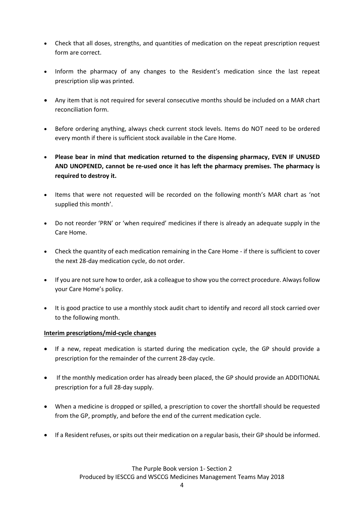- Check that all doses, strengths, and quantities of medication on the repeat prescription request form are correct.
- Inform the pharmacy of any changes to the Resident's medication since the last repeat prescription slip was printed.
- Any item that is not required for several consecutive months should be included on a MAR chart reconciliation form.
- Before ordering anything, always check current stock levels. Items do NOT need to be ordered every month if there is sufficient stock available in the Care Home.
- **Please bear in mind that medication returned to the dispensing pharmacy, EVEN IF UNUSED AND UNOPENED, cannot be re-used once it has left the pharmacy premises. The pharmacy is required to destroy it.**
- Items that were not requested will be recorded on the following month's MAR chart as 'not supplied this month'.
- Do not reorder 'PRN' or 'when required' medicines if there is already an adequate supply in the Care Home.
- Check the quantity of each medication remaining in the Care Home if there is sufficient to cover the next 28-day medication cycle, do not order.
- If you are not sure how to order, ask a colleague to show you the correct procedure. Always follow your Care Home's policy.
- It is good practice to use a monthly stock audit chart to identify and record all stock carried over to the following month.

## **Interim prescriptions/mid-cycle changes**

- If a new, repeat medication is started during the medication cycle, the GP should provide a prescription for the remainder of the current 28-day cycle.
- If the monthly medication order has already been placed, the GP should provide an ADDITIONAL prescription for a full 28-day supply.
- When a medicine is dropped or spilled, a prescription to cover the shortfall should be requested from the GP, promptly, and before the end of the current medication cycle.
- If a Resident refuses, or spits out their medication on a regular basis, their GP should be informed.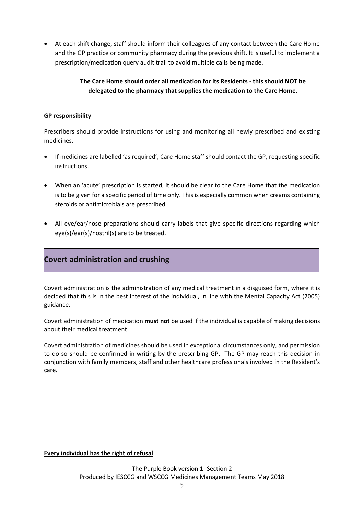At each shift change, staff should inform their colleagues of any contact between the Care Home and the GP practice or community pharmacy during the previous shift. It is useful to implement a prescription/medication query audit trail to avoid multiple calls being made.

## **The Care Home should order all medication for its Residents - this should NOT be delegated to the pharmacy that supplies the medication to the Care Home.**

## **GP responsibility**

Prescribers should provide instructions for using and monitoring all newly prescribed and existing medicines.

- If medicines are labelled 'as required', Care Home staff should contact the GP, requesting specific instructions.
- When an 'acute' prescription is started, it should be clear to the Care Home that the medication is to be given for a specific period of time only. This is especially common when creams containing steroids or antimicrobials are prescribed.
- All eye/ear/nose preparations should carry labels that give specific directions regarding which eye(s)/ear(s)/nostril(s) are to be treated.

# **Covert administration and crushing**

Covert administration is the administration of any medical treatment in a disguised form, where it is decided that this is in the best interest of the individual, in line with the Mental Capacity Act (2005) guidance.

Covert administration of medication **must not** be used if the individual is capable of making decisions about their medical treatment.

Covert administration of medicines should be used in exceptional circumstances only, and permission to do so should be confirmed in writing by the prescribing GP. The GP may reach this decision in conjunction with family members, staff and other healthcare professionals involved in the Resident's care.

## **Every individual has the right of refusal**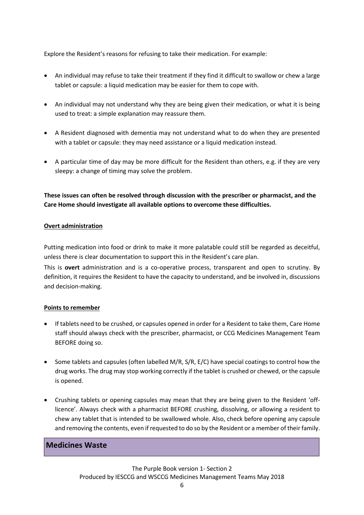Explore the Resident's reasons for refusing to take their medication. For example:

- An individual may refuse to take their treatment if they find it difficult to swallow or chew a large tablet or capsule: a liquid medication may be easier for them to cope with.
- An individual may not understand why they are being given their medication, or what it is being used to treat: a simple explanation may reassure them.
- A Resident diagnosed with dementia may not understand what to do when they are presented with a tablet or capsule: they may need assistance or a liquid medication instead.
- A particular time of day may be more difficult for the Resident than others, e.g. if they are very sleepy: a change of timing may solve the problem.

**These issues can often be resolved through discussion with the prescriber or pharmacist, and the Care Home should investigate all available options to overcome these difficulties.**

#### **Overt administration**

Putting medication into food or drink to make it more palatable could still be regarded as deceitful, unless there is clear documentation to support this in the Resident's care plan.

This is **overt** administration and is a co-operative process, transparent and open to scrutiny. By definition, it requires the Resident to have the capacity to understand, and be involved in, discussions and decision-making.

## **Points to remember**

- If tablets need to be crushed, or capsules opened in order for a Resident to take them, Care Home staff should always check with the prescriber, pharmacist, or CCG Medicines Management Team BEFORE doing so.
- $\bullet$  Some tablets and capsules (often labelled M/R, S/R, E/C) have special coatings to control how the drug works. The drug may stop working correctly if the tablet is crushed or chewed, or the capsule is opened.
- Crushing tablets or opening capsules may mean that they are being given to the Resident 'offlicence'. Always check with a pharmacist BEFORE crushing, dissolving, or allowing a resident to chew any tablet that is intended to be swallowed whole. Also, check before opening any capsule and removing the contents, even if requested to do so by the Resident or a member of their family.

## **Medicines Waste**

The Purple Book version 1- Section 2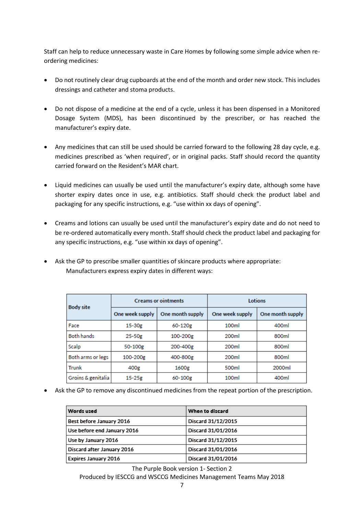Staff can help to reduce unnecessary waste in Care Homes by following some simple advice when reordering medicines:

- Do not routinely clear drug cupboards at the end of the month and order new stock. This includes dressings and catheter and stoma products.
- Do not dispose of a medicine at the end of a cycle, unless it has been dispensed in a Monitored Dosage System (MDS), has been discontinued by the prescriber, or has reached the manufacturer's expiry date.
- Any medicines that can still be used should be carried forward to the following 28 day cycle, e.g. medicines prescribed as 'when required', or in original packs. Staff should record the quantity carried forward on the Resident's MAR chart.
- Liquid medicines can usually be used until the manufacturer's expiry date, although some have shorter expiry dates once in use, e.g. antibiotics. Staff should check the product label and packaging for any specific instructions, e.g. "use within xx days of opening".
- Creams and lotions can usually be used until the manufacturer's expiry date and do not need to be re-ordered automatically every month. Staff should check the product label and packaging for any specific instructions, e.g. "use within xx days of opening".
- Ask the GP to prescribe smaller quantities of skincare products where appropriate: Manufacturers express expiry dates in different ways:

| <b>Body site</b>   | <b>Creams or ointments</b> |                  | Lotions           |                  |
|--------------------|----------------------------|------------------|-------------------|------------------|
|                    | One week supply            | One month supply | One week supply   | One month supply |
| Face               | 15-30g                     | 60-120g          | 100ml             | 400ml            |
| <b>Both hands</b>  | $25 - 50g$                 | 100-200g         | 200ml             | 800ml            |
| Scalp              | 50-100g                    | 200-400g         | 200ml             | 800ml            |
| Both arms or legs  | 100-200g                   | 400-800g         | 200 <sub>ml</sub> | 800ml            |
| <b>Trunk</b>       | 400g                       | 1600g            | 500ml             | 2000ml           |
| Groins & genitalia | $15-25g$                   | 60-100g          | 100ml             | 400ml            |

Ask the GP to remove any discontinued medicines from the repeat portion of the prescription.

| Words used                  | When to discard    |
|-----------------------------|--------------------|
| Best before January 2016    | Discard 31/12/2015 |
| Use before end January 2016 | Discard 31/01/2016 |
| Use by January 2016         | Discard 31/12/2015 |
| Discard after January 2016  | Discard 31/01/2016 |
| <b>Expires January 2016</b> | Discard 31/01/2016 |

The Purple Book version 1- Section 2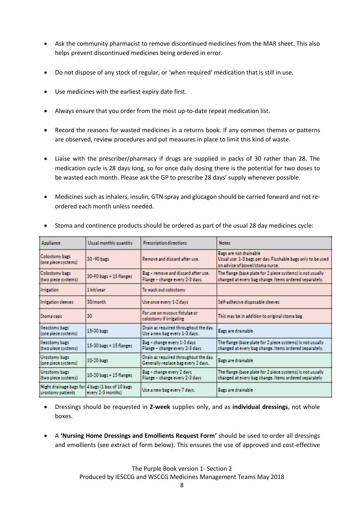- Ask the community pharmacist to remove discontinued medicines from the MAR sheet. This also helps prevent discontinued medicines being ordered in error.
- Do not dispose of any stock of regular, or 'when required' medication that is still in use.
- Use medicines with the earliest expiry date first.
- Always ensure that you order from the most up-to-date repeat medication list.
- Record the reasons for wasted medicines in a returns book. If any common themes or patterns are observed, review procedures and put measures in place to limit this kind of waste.
- Liaise with the prescriber/pharmacy if drugs are supplied in packs of 30 rather than 28. The medication cycle is 28 days long, so for once daily dosing there is the potential for two doses to be wasted each month. Please ask the GP to prescribe 28 days' supply whenever possible.
- Medicines such as inhalers, insulin, GTN spray and glucagon should be carried forward and not reordered each month unless needed.

| Appliance                                    | Usual monthly quantity                         | Prescription directions                                                      | <b>Notes</b>                                                                                                             |
|----------------------------------------------|------------------------------------------------|------------------------------------------------------------------------------|--------------------------------------------------------------------------------------------------------------------------|
| <b>Colostomy bars</b><br>(one piece systems) | 30-90 bars                                     | Remove and discard after use.                                                | Bags are not drainable<br>Usual use: 1-3 bars per day. Flushable bars only to be used<br>on advice of bowel/stoma nurse. |
| <b>Colostomy bags</b><br>(two piece systems) | 30-90 bags + 15 flanges                        | Bag - remove and discard after use.<br>Flange - change every 2-3 days.       | The flange (base plate for 2 piece systems) is not usually<br>changed at every bag change. Items ordered separately.     |
| <b>Irrigation</b>                            | 1 kit/year                                     | To wash out colostomy                                                        |                                                                                                                          |
| <b>Irrigation sleeves</b>                    | 30/month                                       | Use once every 1-2 days                                                      | Self-adhesive disposable sleeves                                                                                         |
| Stoma caps                                   | 30                                             | For use on mucous fistulae or<br>colostomy if irrigating                     | This may be in addition to original stoma bag                                                                            |
| lleostomy bags<br>(one piece systems)        | 15-30 bars                                     | Drain as required throughout the day.<br>Use a new bag every 1-3 days.       | Bars are drainable                                                                                                       |
| lleostomy bags<br>(two piece systems)        | 15-30 bags + 15 flanges                        | Bag - change every 1-3 days<br>Flange - change every 2-3 days                | The flange (base plate for 2 piece systems) is not usually<br>changed at every bag change. Items ordered separately.     |
| Urostomy bags<br>(one piece systems)         | 10-20 bars                                     | Drain as required throughout the day.<br>Generally replace bag every 2 days. | <b>Bags are drainable</b>                                                                                                |
| Urostomy bags<br>(two piece systems)         | 10-20 bars + 15 flances                        | Bag - change every 2 days<br>Flange - change every 2-3 days                  | The flange (base plate for 2 piece systems) is not usually<br>changed at every bag change. Items ordered separately      |
| Night drainage bags for<br>urostomy patients | 4 bags (1 box of 10 bags)<br>every 2-3 months) | Use a new bag every 7 days.                                                  | Bags are drainable                                                                                                       |

Stoma and continence products should be ordered as part of the usual 28 day medicines cycle:

- Dressings should be requested in **2-week** supplies only, and as **individual dressings**, not whole boxes.
- A **'Nursing Home Dressings and Emollients Request Form'** should be used to order all dressings and emollients (see extract of form below). This ensures the use of approved and cost-effective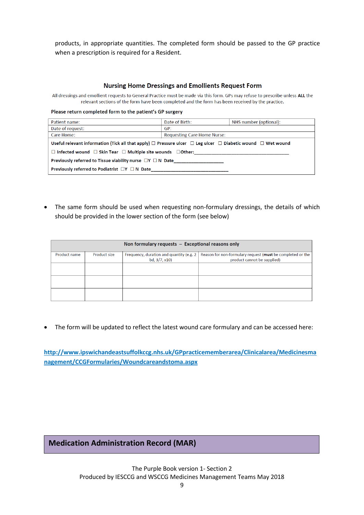products, in appropriate quantities. The completed form should be passed to the GP practice when a prescription is required for a Resident.

#### **Nursing Home Dressings and Emollients Request Form**

All dressings and emollient requests to General Practice must be made via this form. GPs may refuse to prescribe unless ALL the relevant sections of the form have been completed and the form has been received by the practice.

Please return completed form to the patient's GP surgery

| Patient name:                                                                                                                   | Date of Birth:                     | NHS number (optional): |
|---------------------------------------------------------------------------------------------------------------------------------|------------------------------------|------------------------|
| Date of request:                                                                                                                | GP:                                |                        |
| Care Home:                                                                                                                      | <b>Requesting Care Home Nurse:</b> |                        |
| Useful relevant information (Tick all that apply) $\Box$ Pressure ulcer $\Box$ Leg ulcer $\Box$ Diabetic wound $\Box$ Wet wound |                                    |                        |
| $\Box$ Infected wound $\Box$ Skin Tear $\Box$ Multiple site wounds $\Box$ Other:                                                |                                    |                        |
| Previously referred to Tissue viability nurse $\Box Y \Box N$ Date                                                              |                                    |                        |
| Previously referred to Podiatrist $\Box Y \Box N$ Date                                                                          |                                    |                        |

• The same form should be used when requesting non-formulary dressings, the details of which should be provided in the lower section of the form (see below)

| Non formulary requests - Exceptional reasons only |                     |                                                          |                                                                                           |
|---------------------------------------------------|---------------------|----------------------------------------------------------|-------------------------------------------------------------------------------------------|
| Product name                                      | <b>Product size</b> | Frequency, duration and quantity (e.g. 2<br>bd, 3/7, x10 | Reason for non-formulary request (must be completed or the<br>product cannot be supplied) |
|                                                   |                     |                                                          |                                                                                           |
|                                                   |                     |                                                          |                                                                                           |
|                                                   |                     |                                                          |                                                                                           |

The form will be updated to reflect the latest wound care formulary and can be accessed here:

**[http://www.ipswichandeastsuffolkccg.nhs.uk/GPpracticememberarea/Clinicalarea/Medicinesma](http://www.ipswichandeastsuffolkccg.nhs.uk/GPpracticememberarea/Clinicalarea/Medicinesmanagement/CCGFormularies/Woundcareandstoma.aspx) [nagement/CCGFormularies/Woundcareandstoma.aspx](http://www.ipswichandeastsuffolkccg.nhs.uk/GPpracticememberarea/Clinicalarea/Medicinesmanagement/CCGFormularies/Woundcareandstoma.aspx)**

# **Medication Administration Record (MAR)**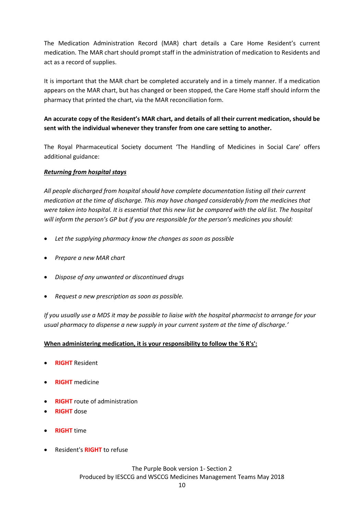The Medication Administration Record (MAR) chart details a Care Home Resident's current medication. The MAR chart should prompt staff in the administration of medication to Residents and act as a record of supplies.

It is important that the MAR chart be completed accurately and in a timely manner. If a medication appears on the MAR chart, but has changed or been stopped, the Care Home staff should inform the pharmacy that printed the chart, via the MAR reconciliation form.

## **An accurate copy of the Resident's MAR chart, and details of all their current medication, should be sent with the individual whenever they transfer from one care setting to another.**

The Royal Pharmaceutical Society document 'The Handling of Medicines in Social Care' offers additional guidance:

## *Returning from hospital stays*

*All people discharged from hospital should have complete documentation listing all their current medication at the time of discharge. This may have changed considerably from the medicines that were taken into hospital. It is essential that this new list be compared with the old list. The hospital will inform the person's GP but if you are responsible for the person's medicines you should:*

- *Let the supplying pharmacy know the changes as soon as possible*
- *Prepare a new MAR chart*
- *Dispose of any unwanted or discontinued drugs*
- *Request a new prescription as soon as possible.*

*If you usually use a MDS it may be possible to liaise with the hospital pharmacist to arrange for your usual pharmacy to dispense a new supply in your current system at the time of discharge.'*

## **When administering medication, it is your responsibility to follow the '6 R's':**

- **RIGHT** Resident
- **RIGHT** medicine
- **RIGHT** route of administration
- **RIGHT** dose
- **RIGHT** time
- Resident's **RIGHT** to refuse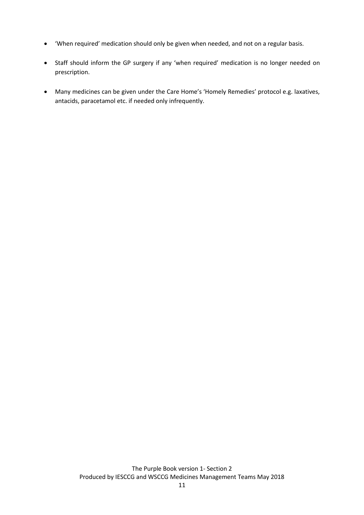- 'When required' medication should only be given when needed, and not on a regular basis.
- Staff should inform the GP surgery if any 'when required' medication is no longer needed on prescription.
- Many medicines can be given under the Care Home's 'Homely Remedies' protocol e.g. laxatives, antacids, paracetamol etc. if needed only infrequently.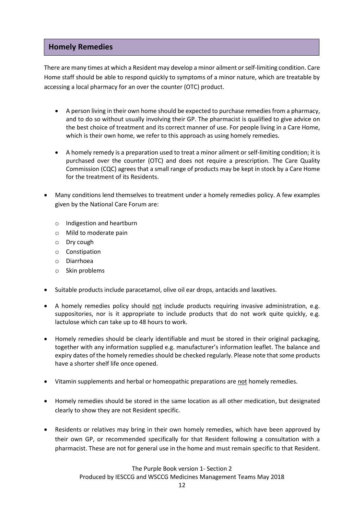## **Homely Remedies**

There are many times at which a Resident may develop a minor ailment or self-limiting condition. Care Home staff should be able to respond quickly to symptoms of a minor nature, which are treatable by accessing a local pharmacy for an over the counter (OTC) product.

- A person living in their own home should be expected to purchase remedies from a pharmacy, and to do so without usually involving their GP. The pharmacist is qualified to give advice on the best choice of treatment and its correct manner of use. For people living in a Care Home, which is their own home, we refer to this approach as using homely remedies.
- A homely remedy is a preparation used to treat a minor ailment or self-limiting condition; it is purchased over the counter (OTC) and does not require a prescription. The Care Quality Commission (CQC) agrees that a small range of products may be kept in stock by a Care Home for the treatment of its Residents.
- Many conditions lend themselves to treatment under a homely remedies policy. A few examples given by the National Care Forum are:
	- o Indigestion and heartburn
	- o Mild to moderate pain
	- o Dry cough
	- o Constipation
	- o Diarrhoea
	- o Skin problems
- Suitable products include paracetamol, olive oil ear drops, antacids and laxatives.
- A homely remedies policy should not include products requiring invasive administration, e.g. suppositories, nor is it appropriate to include products that do not work quite quickly, e.g. lactulose which can take up to 48 hours to work.
- Homely remedies should be clearly identifiable and must be stored in their original packaging, together with any information supplied e.g. manufacturer's information leaflet. The balance and expiry dates of the homely remedies should be checked regularly. Please note that some products have a shorter shelf life once opened.
- Vitamin supplements and herbal or homeopathic preparations are not homely remedies.
- Homely remedies should be stored in the same location as all other medication, but designated clearly to show they are not Resident specific.
- Residents or relatives may bring in their own homely remedies, which have been approved by their own GP, or recommended specifically for that Resident following a consultation with a pharmacist. These are not for general use in the home and must remain specific to that Resident.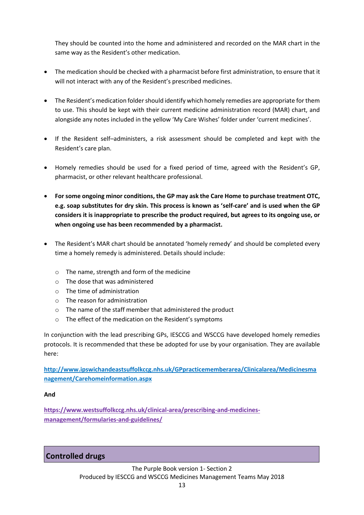They should be counted into the home and administered and recorded on the MAR chart in the same way as the Resident's other medication.

- The medication should be checked with a pharmacist before first administration, to ensure that it will not interact with any of the Resident's prescribed medicines.
- The Resident's medication folder should identify which homely remedies are appropriate for them to use. This should be kept with their current medicine administration record (MAR) chart, and alongside any notes included in the yellow 'My Care Wishes' folder under 'current medicines'.
- If the Resident self–administers, a risk assessment should be completed and kept with the Resident's care plan.
- Homely remedies should be used for a fixed period of time, agreed with the Resident's GP, pharmacist, or other relevant healthcare professional.
- **For some ongoing minor conditions, the GP may ask the Care Home to purchase treatment OTC, e.g. soap substitutes for dry skin. This process is known as 'self-care' and is used when the GP considers it is inappropriate to prescribe the product required, but agrees to its ongoing use, or when ongoing use has been recommended by a pharmacist.**
- The Resident's MAR chart should be annotated 'homely remedy' and should be completed every time a homely remedy is administered. Details should include:
	- o The name, strength and form of the medicine
	- o The dose that was administered
	- $\circ$  The time of administration
	- o The reason for administration
	- o The name of the staff member that administered the product
	- o The effect of the medication on the Resident's symptoms

In conjunction with the lead prescribing GPs, IESCCG and WSCCG have developed homely remedies protocols. It is recommended that these be adopted for use by your organisation. They are available here:

**[http://www.ipswichandeastsuffolkccg.nhs.uk/GPpracticememberarea/Clinicalarea/Medicinesma](http://www.ipswichandeastsuffolkccg.nhs.uk/GPpracticememberarea/Clinicalarea/Medicinesmanagement/Carehomeinformation.aspx) [nagement/Carehomeinformation.aspx](http://www.ipswichandeastsuffolkccg.nhs.uk/GPpracticememberarea/Clinicalarea/Medicinesmanagement/Carehomeinformation.aspx)**

#### **And**

**[https://www.westsuffolkccg.nhs.uk/clinical-area/prescribing-and-medicines](https://www.westsuffolkccg.nhs.uk/clinical-area/prescribing-and-medicines-management/formularies-and-guidelines/)[management/formularies-and-guidelines/](https://www.westsuffolkccg.nhs.uk/clinical-area/prescribing-and-medicines-management/formularies-and-guidelines/)**

## **Controlled drugs**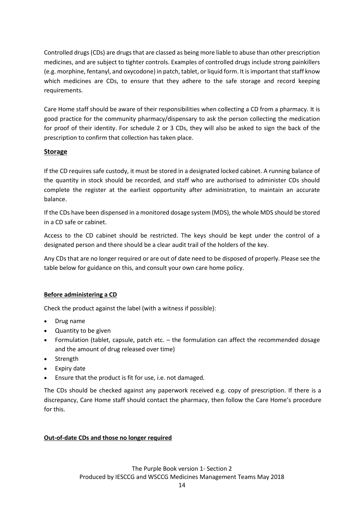Controlled drugs(CDs) are drugs that are classed as being more liable to abuse than other prescription medicines, and are subject to tighter controls. Examples of controlled drugs include strong painkillers (e.g. morphine, fentanyl, and oxycodone) in patch, tablet, or liquid form. It is important that staff know which medicines are CDs, to ensure that they adhere to the safe storage and record keeping requirements.

Care Home staff should be aware of their responsibilities when collecting a CD from a pharmacy. It is good practice for the community pharmacy/dispensary to ask the person collecting the medication for proof of their identity. For schedule 2 or 3 CDs, they will also be asked to sign the back of the prescription to confirm that collection has taken place.

## **Storage**

If the CD requires safe custody, it must be stored in a designated locked cabinet. A running balance of the quantity in stock should be recorded, and staff who are authorised to administer CDs should complete the register at the earliest opportunity after administration, to maintain an accurate balance.

If the CDs have been dispensed in a monitored dosage system (MDS), the whole MDS should be stored in a CD safe or cabinet.

Access to the CD cabinet should be restricted. The keys should be kept under the control of a designated person and there should be a clear audit trail of the holders of the key.

Any CDs that are no longer required or are out of date need to be disposed of properly. Please see the table below for guidance on this, and consult your own care home policy.

## **Before administering a CD**

Check the product against the label (with a witness if possible):

- Drug name
- Quantity to be given
- Formulation (tablet, capsule, patch etc. the formulation can affect the recommended dosage and the amount of drug released over time)
- Strength
- Expiry date
- Ensure that the product is fit for use, i.e. not damaged.

The CDs should be checked against any paperwork received e.g. copy of prescription. If there is a discrepancy, Care Home staff should contact the pharmacy, then follow the Care Home's procedure for this.

## **Out-of-date CDs and those no longer required**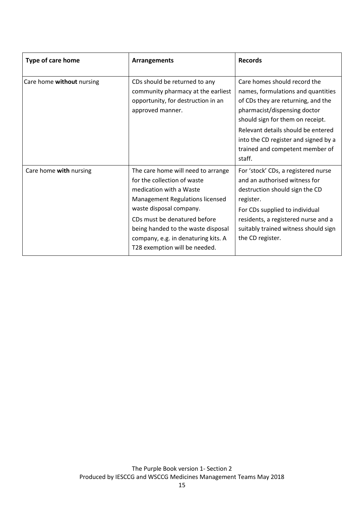| Type of care home         | <b>Arrangements</b>                                                                                                                                                                                                                                                                                      | <b>Records</b>                                                                                                                                                                                                                                                                                          |
|---------------------------|----------------------------------------------------------------------------------------------------------------------------------------------------------------------------------------------------------------------------------------------------------------------------------------------------------|---------------------------------------------------------------------------------------------------------------------------------------------------------------------------------------------------------------------------------------------------------------------------------------------------------|
| Care home without nursing | CDs should be returned to any<br>community pharmacy at the earliest<br>opportunity, for destruction in an<br>approved manner.                                                                                                                                                                            | Care homes should record the<br>names, formulations and quantities<br>of CDs they are returning, and the<br>pharmacist/dispensing doctor<br>should sign for them on receipt.<br>Relevant details should be entered<br>into the CD register and signed by a<br>trained and competent member of<br>staff. |
| Care home with nursing    | The care home will need to arrange<br>for the collection of waste<br>medication with a Waste<br>Management Regulations licensed<br>waste disposal company.<br>CDs must be denatured before<br>being handed to the waste disposal<br>company, e.g. in denaturing kits. A<br>T28 exemption will be needed. | For 'stock' CDs, a registered nurse<br>and an authorised witness for<br>destruction should sign the CD<br>register.<br>For CDs supplied to individual<br>residents, a registered nurse and a<br>suitably trained witness should sign<br>the CD register.                                                |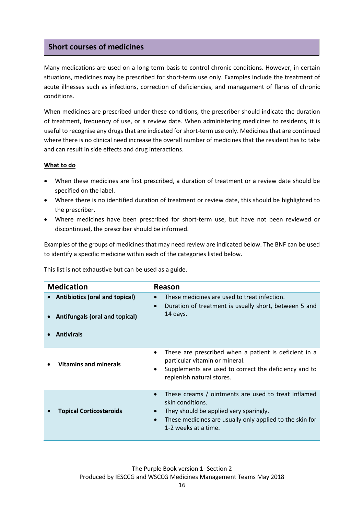## **Short courses of medicines**

Many medications are used on a long-term basis to control chronic conditions. However, in certain situations, medicines may be prescribed for short-term use only. Examples include the treatment of acute illnesses such as infections, correction of deficiencies, and management of flares of chronic conditions.

When medicines are prescribed under these conditions, the prescriber should indicate the duration of treatment, frequency of use, or a review date. When administering medicines to residents, it is useful to recognise any drugs that are indicated for short-term use only. Medicines that are continued where there is no clinical need increase the overall number of medicines that the resident has to take and can result in side effects and drug interactions.

#### **What to do**

- When these medicines are first prescribed, a duration of treatment or a review date should be specified on the label.
- Where there is no identified duration of treatment or review date, this should be highlighted to the prescriber.
- Where medicines have been prescribed for short-term use, but have not been reviewed or discontinued, the prescriber should be informed.

Examples of the groups of medicines that may need review are indicated below. The BNF can be used to identify a specific medicine within each of the categories listed below.

This list is not exhaustive but can be used as a guide.

| <b>Medication</b> |                                                                                              | <b>Reason</b>                                                                                                                                                                                                                   |  |
|-------------------|----------------------------------------------------------------------------------------------|---------------------------------------------------------------------------------------------------------------------------------------------------------------------------------------------------------------------------------|--|
|                   | <b>Antibiotics (oral and topical)</b><br>Antifungals (oral and topical)<br><b>Antivirals</b> | These medicines are used to treat infection.<br>Duration of treatment is usually short, between 5 and<br>$\bullet$<br>14 days.                                                                                                  |  |
|                   | <b>Vitamins and minerals</b>                                                                 | These are prescribed when a patient is deficient in a<br>particular vitamin or mineral.<br>Supplements are used to correct the deficiency and to<br>$\bullet$<br>replenish natural stores.                                      |  |
|                   | <b>Topical Corticosteroids</b>                                                               | These creams / ointments are used to treat inflamed<br>$\bullet$<br>skin conditions.<br>They should be applied very sparingly.<br>These medicines are usually only applied to the skin for<br>$\bullet$<br>1-2 weeks at a time. |  |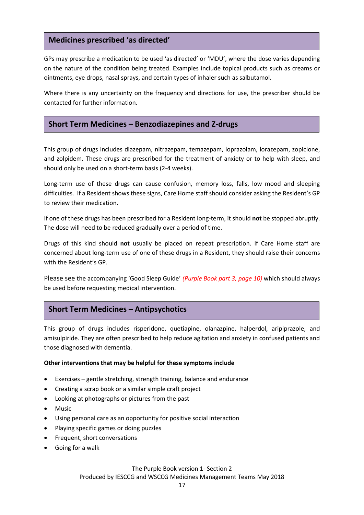## **Medicines prescribed 'as directed'**

GPs may prescribe a medication to be used 'as directed' or 'MDU', where the dose varies depending on the nature of the condition being treated. Examples include topical products such as creams or ointments, eye drops, nasal sprays, and certain types of inhaler such as salbutamol.

Where there is any uncertainty on the frequency and directions for use, the prescriber should be contacted for further information.

## **Short Term Medicines – Benzodiazepines and Z-drugs**

This group of drugs includes diazepam, nitrazepam, temazepam, loprazolam, lorazepam, zopiclone, and zolpidem. These drugs are prescribed for the treatment of anxiety or to help with sleep, and should only be used on a short-term basis (2-4 weeks).

Long-term use of these drugs can cause confusion, memory loss, falls, low mood and sleeping difficulties. If a Resident shows these signs, Care Home staff should consider asking the Resident's GP to review their medication.

If one of these drugs has been prescribed for a Resident long-term, it should **not** be stopped abruptly. The dose will need to be reduced gradually over a period of time.

Drugs of this kind should **not** usually be placed on repeat prescription. If Care Home staff are concerned about long-term use of one of these drugs in a Resident, they should raise their concerns with the Resident's GP.

Please see the accompanying 'Good Sleep Guide' *(Purple Book part 3, page 10)* which should always be used before requesting medical intervention.

# **Short Term Medicines – Antipsychotics**

This group of drugs includes risperidone, quetiapine, olanazpine, halperdol, aripiprazole, and amisulpiride. They are often prescribed to help reduce agitation and anxiety in confused patients and those diagnosed with dementia.

#### **Other interventions that may be helpful for these symptoms include**

- Exercises gentle stretching, strength training, balance and endurance
- Creating a scrap book or a similar simple craft project
- Looking at photographs or pictures from the past
- Music
- Using personal care as an opportunity for positive social interaction
- Playing specific games or doing puzzles
- Frequent, short conversations
- Going for a walk

The Purple Book version 1- Section 2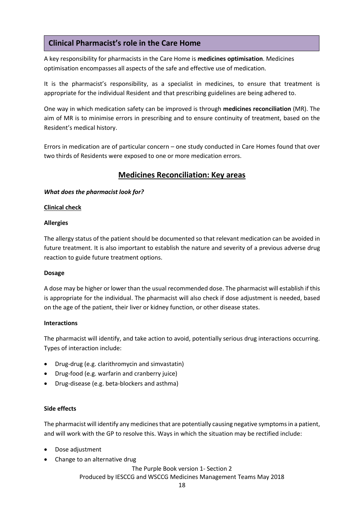# **Clinical Pharmacist's role in the Care Home**

A key responsibility for pharmacists in the Care Home is **medicines optimisation**. Medicines optimisation encompasses all aspects of the safe and effective use of medication.

It is the pharmacist's responsibility, as a specialist in medicines, to ensure that treatment is appropriate for the individual Resident and that prescribing guidelines are being adhered to.

One way in which medication safety can be improved is through **medicines reconciliation** (MR). The aim of MR is to minimise errors in prescribing and to ensure continuity of treatment, based on the Resident's medical history.

Errors in medication are of particular concern – one study conducted in Care Homes found that over two thirds of Residents were exposed to one or more medication errors.

# **Medicines Reconciliation: Key areas**

## *What does the pharmacist look for?*

## **Clinical check**

## **Allergies**

The allergy status of the patient should be documented so that relevant medication can be avoided in future treatment. It is also important to establish the nature and severity of a previous adverse drug reaction to guide future treatment options.

## **Dosage**

A dose may be higher or lower than the usual recommended dose. The pharmacist will establish if this is appropriate for the individual. The pharmacist will also check if dose adjustment is needed, based on the age of the patient, their liver or kidney function, or other disease states.

## **Interactions**

The pharmacist will identify, and take action to avoid, potentially serious drug interactions occurring. Types of interaction include:

- Drug-drug (e.g. clarithromycin and simvastatin)
- Drug-food (e.g. warfarin and cranberry juice)
- Drug-disease (e.g. beta-blockers and asthma)

## **Side effects**

The pharmacist will identify any medicines that are potentially causing negative symptoms in a patient, and will work with the GP to resolve this. Ways in which the situation may be rectified include:

- Dose adjustment
- Change to an alternative drug

The Purple Book version 1- Section 2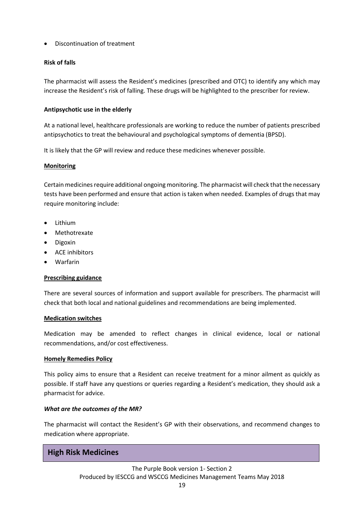Discontinuation of treatment

## **Risk of falls**

The pharmacist will assess the Resident's medicines (prescribed and OTC) to identify any which may increase the Resident's risk of falling. These drugs will be highlighted to the prescriber for review.

## **Antipsychotic use in the elderly**

At a national level, healthcare professionals are working to reduce the number of patients prescribed antipsychotics to treat the behavioural and psychological symptoms of dementia (BPSD).

It is likely that the GP will review and reduce these medicines whenever possible.

## **Monitoring**

Certain medicines require additional ongoing monitoring. The pharmacist will check that the necessary tests have been performed and ensure that action is taken when needed. Examples of drugs that may require monitoring include:

- Lithium
- Methotrexate
- Digoxin
- ACE inhibitors
- Warfarin

## **Prescribing guidance**

There are several sources of information and support available for prescribers. The pharmacist will check that both local and national guidelines and recommendations are being implemented.

## **Medication switches**

Medication may be amended to reflect changes in clinical evidence, local or national recommendations, and/or cost effectiveness.

## **Homely Remedies Policy**

This policy aims to ensure that a Resident can receive treatment for a minor ailment as quickly as possible. If staff have any questions or queries regarding a Resident's medication, they should ask a pharmacist for advice.

## *What are the outcomes of the MR?*

The pharmacist will contact the Resident's GP with their observations, and recommend changes to medication where appropriate.

## **High Risk Medicines**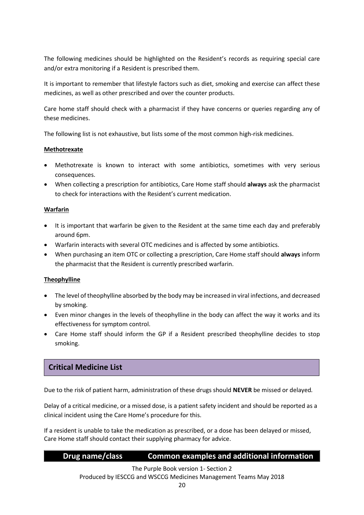The following medicines should be highlighted on the Resident's records as requiring special care and/or extra monitoring if a Resident is prescribed them.

It is important to remember that lifestyle factors such as diet, smoking and exercise can affect these medicines, as well as other prescribed and over the counter products.

Care home staff should check with a pharmacist if they have concerns or queries regarding any of these medicines.

The following list is not exhaustive, but lists some of the most common high-risk medicines.

## **Methotrexate**

- Methotrexate is known to interact with some antibiotics, sometimes with very serious consequences.
- When collecting a prescription for antibiotics, Care Home staff should **always** ask the pharmacist to check for interactions with the Resident's current medication.

## **Warfarin**

- It is important that warfarin be given to the Resident at the same time each day and preferably around 6pm.
- Warfarin interacts with several OTC medicines and is affected by some antibiotics.
- When purchasing an item OTC or collecting a prescription, Care Home staff should **always** inform the pharmacist that the Resident is currently prescribed warfarin.

## **Theophylline**

- The level of theophylline absorbed by the body may be increased in viral infections, and decreased by smoking.
- Even minor changes in the levels of theophylline in the body can affect the way it works and its effectiveness for symptom control.
- Care Home staff should inform the GP if a Resident prescribed theophylline decides to stop smoking.

# **Critical Medicine List**

Due to the risk of patient harm, administration of these drugs should **NEVER** be missed or delayed*.*

Delay of a critical medicine, or a missed dose, is a patient safety incident and should be reported as a clinical incident using the Care Home's procedure for this.

If a resident is unable to take the medication as prescribed, or a dose has been delayed or missed, Care Home staff should contact their supplying pharmacy for advice.

# **Drug name/class Common examples and additional information**

The Purple Book version 1- Section 2 Produced by IESCCG and WSCCG Medicines Management Teams May 2018